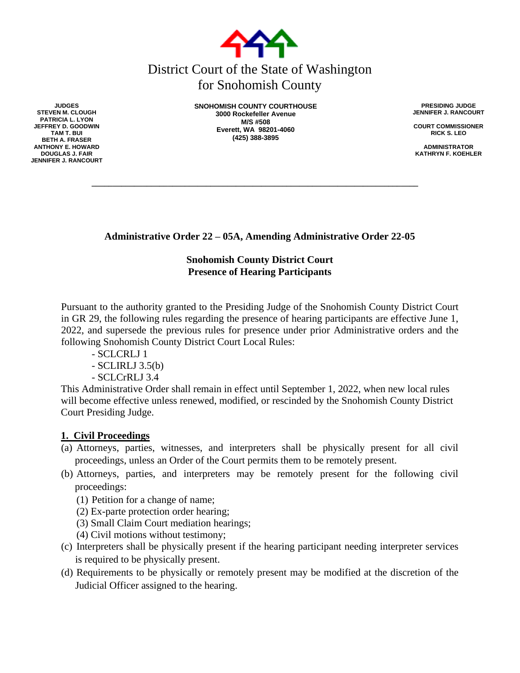

# District Court of the State of Washington for Snohomish County

**SNOHOMISH COUNTY COURTHOUSE 3000 Rockefeller Avenue M/S #508 Everett, WA 98201-4060 (425) 388-3895**

**\_\_\_\_\_\_\_\_\_\_\_\_\_\_\_\_\_\_\_\_\_\_\_\_\_\_\_\_\_\_\_\_\_\_\_\_\_\_\_\_\_\_\_\_\_\_\_\_\_\_\_\_\_\_\_\_\_\_\_\_\_\_\_\_\_\_\_\_\_\_\_\_\_\_\_\_\_**

**PRESIDING JUDGE JENNIFER J. RANCOURT**

**COURT COMMISSIONER RICK S. LEO**

**ADMINISTRATOR KATHRYN F. KOEHLER**

**Administrative Order 22 – 05A, Amending Administrative Order 22-05**

## **Snohomish County District Court Presence of Hearing Participants**

Pursuant to the authority granted to the Presiding Judge of the Snohomish County District Court in GR 29, the following rules regarding the presence of hearing participants are effective June 1, 2022, and supersede the previous rules for presence under prior Administrative orders and the following Snohomish County District Court Local Rules:

- SCLCRLJ 1
- SCLIRLJ 3.5(b)
- SCLCrRLJ 3.4

This Administrative Order shall remain in effect until September 1, 2022, when new local rules will become effective unless renewed, modified, or rescinded by the Snohomish County District Court Presiding Judge.

### **1. Civil Proceedings**

- (a) Attorneys, parties, witnesses, and interpreters shall be physically present for all civil proceedings, unless an Order of the Court permits them to be remotely present.
- (b) Attorneys, parties, and interpreters may be remotely present for the following civil proceedings:
	- (1) Petition for a change of name;
	- (2) Ex-parte protection order hearing;
	- (3) Small Claim Court mediation hearings;
	- (4) Civil motions without testimony;
- (c) Interpreters shall be physically present if the hearing participant needing interpreter services is required to be physically present.
- (d) Requirements to be physically or remotely present may be modified at the discretion of the Judicial Officer assigned to the hearing.

**JUDGES STEVEN M. CLOUGH PATRICIA L. LYON JEFFREY D. GOODWIN TAM T. BUI BETH A. FRASER ANTHONY E. HOWARD DOUGLAS J. FAIR JENNIFER J. RANCOURT**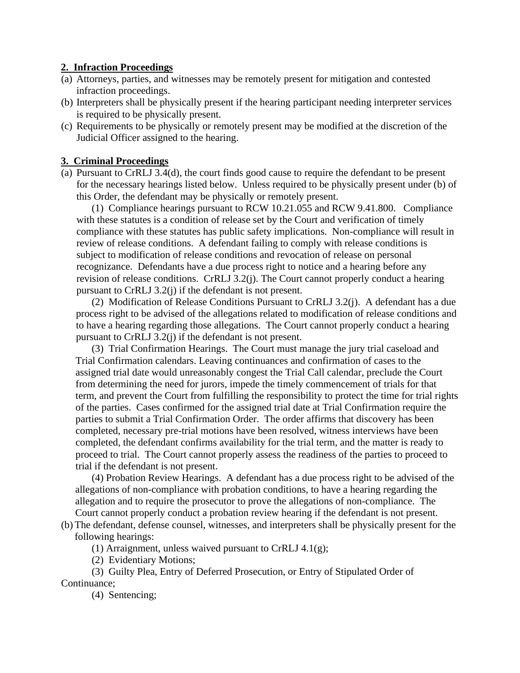#### **2. Infraction Proceedings**

- (a) Attorneys, parties, and witnesses may be remotely present for mitigation and contested infraction proceedings.
- (b) Interpreters shall be physically present if the hearing participant needing interpreter services is required to be physically present.
- (c) Requirements to be physically or remotely present may be modified at the discretion of the Judicial Officer assigned to the hearing.

#### **3. Criminal Proceedings**

(a) Pursuant to CrRLJ 3.4(d), the court finds good cause to require the defendant to be present for the necessary hearings listed below. Unless required to be physically present under (b) of this Order, the defendant may be physically or remotely present.

(1) Compliance hearings pursuant to RCW 10.21.055 and RCW 9.41.800. Compliance with these statutes is a condition of release set by the Court and verification of timely compliance with these statutes has public safety implications. Non-compliance will result in review of release conditions. A defendant failing to comply with release conditions is subject to modification of release conditions and revocation of release on personal recognizance. Defendants have a due process right to notice and a hearing before any revision of release conditions. CrRLJ 3.2(j). The Court cannot properly conduct a hearing pursuant to CrRLJ 3.2(j) if the defendant is not present.

(2) Modification of Release Conditions Pursuant to CrRLJ 3.2(j). A defendant has a due process right to be advised of the allegations related to modification of release conditions and to have a hearing regarding those allegations. The Court cannot properly conduct a hearing pursuant to CrRLJ 3.2(j) if the defendant is not present.

(3) Trial Confirmation Hearings. The Court must manage the jury trial caseload and Trial Confirmation calendars. Leaving continuances and confirmation of cases to the assigned trial date would unreasonably congest the Trial Call calendar, preclude the Court from determining the need for jurors, impede the timely commencement of trials for that term, and prevent the Court from fulfilling the responsibility to protect the time for trial rights of the parties. Cases confirmed for the assigned trial date at Trial Confirmation require the parties to submit a Trial Confirmation Order. The order affirms that discovery has been completed, necessary pre-trial motions have been resolved, witness interviews have been completed, the defendant confirms availability for the trial term, and the matter is ready to proceed to trial. The Court cannot properly assess the readiness of the parties to proceed to trial if the defendant is not present.

(4) Probation Review Hearings. A defendant has a due process right to be advised of the allegations of non-compliance with probation conditions, to have a hearing regarding the allegation and to require the prosecutor to prove the allegations of non-compliance. The Court cannot properly conduct a probation review hearing if the defendant is not present.

(b) The defendant, defense counsel, witnesses, and interpreters shall be physically present for the following hearings:

(1) Arraignment, unless waived pursuant to CrRLJ  $4.1(g)$ ;

(2) Evidentiary Motions;

(3) Guilty Plea, Entry of Deferred Prosecution, or Entry of Stipulated Order of Continuance;

(4) Sentencing;